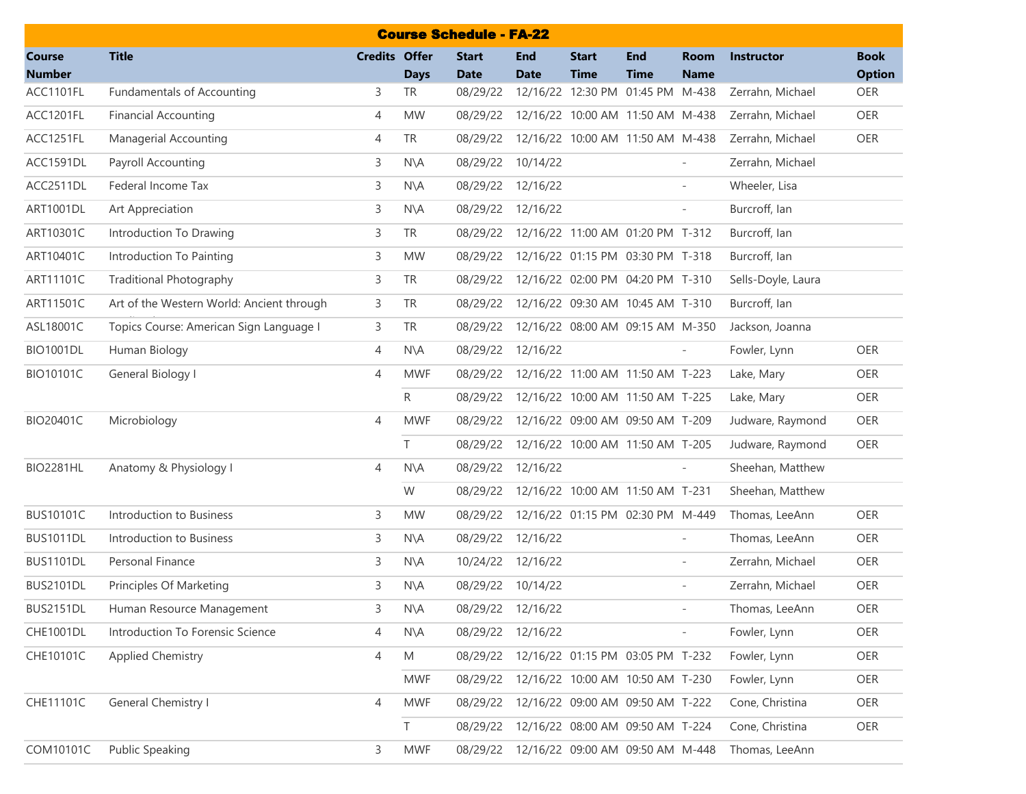| <b>Course Schedule - FA-22</b> |                                           |                      |                |                             |                           |                                  |                           |                            |                    |                              |  |  |  |
|--------------------------------|-------------------------------------------|----------------------|----------------|-----------------------------|---------------------------|----------------------------------|---------------------------|----------------------------|--------------------|------------------------------|--|--|--|
| <b>Course</b><br><b>Number</b> | <b>Title</b>                              | <b>Credits Offer</b> | <b>Days</b>    | <b>Start</b><br><b>Date</b> | <b>End</b><br><b>Date</b> | <b>Start</b><br><b>Time</b>      | <b>End</b><br><b>Time</b> | <b>Room</b><br><b>Name</b> | <b>Instructor</b>  | <b>Book</b><br><b>Option</b> |  |  |  |
| ACC1101FL                      | Fundamentals of Accounting                | 3                    | <b>TR</b>      | 08/29/22                    |                           | 12/16/22 12:30 PM 01:45 PM M-438 |                           |                            | Zerrahn, Michael   | OER                          |  |  |  |
| ACC1201FL                      | <b>Financial Accounting</b>               | 4                    | <b>MW</b>      | 08/29/22                    |                           | 12/16/22 10:00 AM 11:50 AM M-438 |                           |                            | Zerrahn, Michael   | OER                          |  |  |  |
| ACC1251FL                      | <b>Managerial Accounting</b>              | 4                    | <b>TR</b>      | 08/29/22                    |                           | 12/16/22 10:00 AM 11:50 AM M-438 |                           |                            | Zerrahn, Michael   | OER                          |  |  |  |
| ACC1591DL                      | Payroll Accounting                        | 3                    | N\A            | 08/29/22                    | 10/14/22                  |                                  |                           |                            | Zerrahn, Michael   |                              |  |  |  |
| ACC2511DL                      | Federal Income Tax                        | 3                    | $N\setminus A$ | 08/29/22                    | 12/16/22                  |                                  |                           | $\overline{a}$             | Wheeler, Lisa      |                              |  |  |  |
| <b>ART1001DL</b>               | Art Appreciation                          | 3                    | $N\setminus A$ | 08/29/22                    | 12/16/22                  |                                  |                           | $\overline{\phantom{a}}$   | Burcroff, Ian      |                              |  |  |  |
| ART10301C                      | Introduction To Drawing                   | 3                    | <b>TR</b>      | 08/29/22                    |                           | 12/16/22 11:00 AM 01:20 PM T-312 |                           |                            | Burcroff, Ian      |                              |  |  |  |
| ART10401C                      | Introduction To Painting                  | 3                    | <b>MW</b>      | 08/29/22                    |                           | 12/16/22 01:15 PM 03:30 PM T-318 |                           |                            | Burcroff, Ian      |                              |  |  |  |
| ART11101C                      | <b>Traditional Photography</b>            | 3                    | <b>TR</b>      | 08/29/22                    |                           | 12/16/22 02:00 PM 04:20 PM T-310 |                           |                            | Sells-Doyle, Laura |                              |  |  |  |
| ART11501C                      | Art of the Western World: Ancient through | 3                    | <b>TR</b>      | 08/29/22                    |                           | 12/16/22 09:30 AM 10:45 AM T-310 |                           |                            | Burcroff, Ian      |                              |  |  |  |
| ASL18001C                      | Topics Course: American Sign Language I   | 3                    | <b>TR</b>      | 08/29/22                    |                           | 12/16/22 08:00 AM 09:15 AM M-350 |                           |                            | Jackson, Joanna    |                              |  |  |  |
| <b>BIO1001DL</b>               | Human Biology                             | 4                    | $N\setminus A$ | 08/29/22                    | 12/16/22                  |                                  |                           |                            | Fowler, Lynn       | OER                          |  |  |  |
| BIO10101C                      | General Biology I                         | 4                    | <b>MWF</b>     | 08/29/22                    |                           | 12/16/22 11:00 AM 11:50 AM T-223 |                           |                            | Lake, Mary         | OER                          |  |  |  |
|                                |                                           |                      | R.             | 08/29/22                    |                           | 12/16/22 10:00 AM 11:50 AM T-225 |                           |                            | Lake, Mary         | OER                          |  |  |  |
| BIO20401C                      | Microbiology                              | 4                    | <b>MWF</b>     | 08/29/22                    |                           | 12/16/22 09:00 AM 09:50 AM T-209 |                           |                            | Judware, Raymond   | OER                          |  |  |  |
|                                |                                           |                      | T              | 08/29/22                    |                           | 12/16/22 10:00 AM 11:50 AM T-205 |                           |                            | Judware, Raymond   | OER                          |  |  |  |
| <b>BIO2281HL</b>               | Anatomy & Physiology I                    | 4                    | $N\setminus A$ | 08/29/22                    | 12/16/22                  |                                  |                           |                            | Sheehan, Matthew   |                              |  |  |  |
|                                |                                           |                      | W              | 08/29/22                    |                           | 12/16/22 10:00 AM 11:50 AM T-231 |                           |                            | Sheehan, Matthew   |                              |  |  |  |
| <b>BUS10101C</b>               | Introduction to Business                  | 3                    | <b>MW</b>      | 08/29/22                    |                           | 12/16/22 01:15 PM 02:30 PM M-449 |                           |                            | Thomas, LeeAnn     | OER                          |  |  |  |
| <b>BUS1011DL</b>               | Introduction to Business                  | 3                    | $N\setminus A$ | 08/29/22                    | 12/16/22                  |                                  |                           | $\overline{\phantom{a}}$   | Thomas, LeeAnn     | OER                          |  |  |  |
| <b>BUS1101DL</b>               | Personal Finance                          | 3                    | $N\setminus A$ |                             | 10/24/22 12/16/22         |                                  |                           | $\overline{\phantom{a}}$   | Zerrahn, Michael   | OER                          |  |  |  |
| <b>BUS2101DL</b>               | Principles Of Marketing                   | 3                    | $N\setminus A$ | 08/29/22                    | 10/14/22                  |                                  |                           | $\overline{\phantom{a}}$   | Zerrahn, Michael   | OER                          |  |  |  |
| <b>BUS2151DL</b>               | Human Resource Management                 | 3                    | N\A            | 08/29/22 12/16/22           |                           |                                  |                           |                            | Thomas, LeeAnn     | OER                          |  |  |  |
| <b>CHE1001DL</b>               | Introduction To Forensic Science          | 4                    | $N\setminus A$ | 08/29/22 12/16/22           |                           |                                  |                           | $\overline{\phantom{a}}$   | Fowler, Lynn       | OER                          |  |  |  |
| CHE10101C                      | Applied Chemistry                         | 4                    | M              | 08/29/22                    |                           | 12/16/22 01:15 PM 03:05 PM T-232 |                           |                            | Fowler, Lynn       | OER                          |  |  |  |
|                                |                                           |                      | <b>MWF</b>     | 08/29/22                    |                           | 12/16/22 10:00 AM 10:50 AM T-230 |                           |                            | Fowler, Lynn       | OER                          |  |  |  |
| CHE11101C                      | General Chemistry I                       | 4                    | <b>MWF</b>     | 08/29/22                    |                           | 12/16/22 09:00 AM 09:50 AM T-222 |                           |                            | Cone, Christina    | OER                          |  |  |  |
|                                |                                           |                      | T.             | 08/29/22                    |                           | 12/16/22 08:00 AM 09:50 AM T-224 |                           |                            | Cone, Christina    | OER                          |  |  |  |
| COM10101C                      | <b>Public Speaking</b>                    | 3                    | <b>MWF</b>     | 08/29/22                    |                           | 12/16/22 09:00 AM 09:50 AM M-448 |                           |                            | Thomas, LeeAnn     |                              |  |  |  |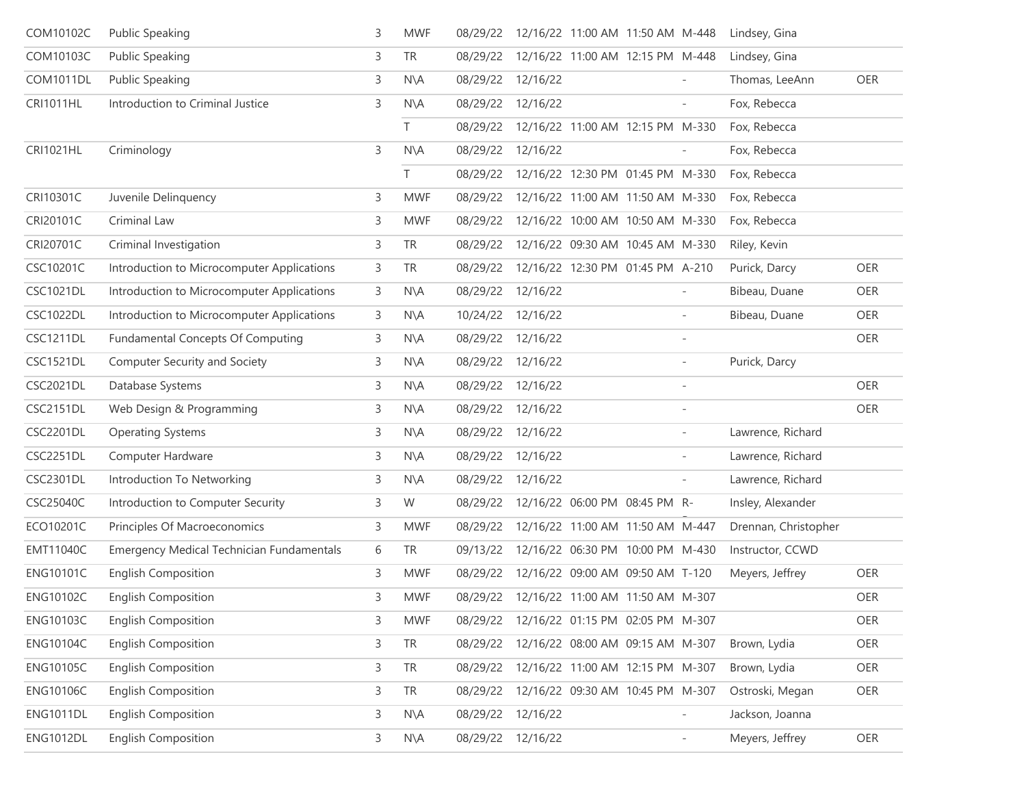| COM10102C        | <b>Public Speaking</b>                           | 3 | <b>MWF</b>     |          |                   | 08/29/22 12/16/22 11:00 AM 11:50 AM M-448 |                          | Lindsey, Gina        |     |
|------------------|--------------------------------------------------|---|----------------|----------|-------------------|-------------------------------------------|--------------------------|----------------------|-----|
| COM10103C        | Public Speaking                                  | 3 | <b>TR</b>      | 08/29/22 |                   | 12/16/22 11:00 AM 12:15 PM M-448          |                          | Lindsey, Gina        |     |
| <b>COM1011DL</b> | <b>Public Speaking</b>                           | 3 | $N\setminus A$ |          | 08/29/22 12/16/22 |                                           |                          | Thomas, LeeAnn       | OER |
| <b>CRI1011HL</b> | Introduction to Criminal Justice                 | 3 | $N\setminus A$ | 08/29/22 | 12/16/22          |                                           | $\overline{\phantom{a}}$ | Fox, Rebecca         |     |
|                  |                                                  |   | T.             |          |                   | 08/29/22 12/16/22 11:00 AM 12:15 PM M-330 |                          | Fox, Rebecca         |     |
| CRI1021HL        | Criminology                                      | 3 | $N\setminus A$ | 08/29/22 | 12/16/22          |                                           |                          | Fox, Rebecca         |     |
|                  |                                                  |   | T.             |          |                   | 08/29/22 12/16/22 12:30 PM 01:45 PM M-330 |                          | Fox, Rebecca         |     |
| CRI10301C        | Juvenile Delinquency                             | 3 | <b>MWF</b>     | 08/29/22 |                   | 12/16/22 11:00 AM 11:50 AM M-330          |                          | Fox, Rebecca         |     |
| CRI20101C        | Criminal Law                                     | 3 | <b>MWF</b>     | 08/29/22 |                   | 12/16/22 10:00 AM 10:50 AM M-330          |                          | Fox, Rebecca         |     |
| CRI20701C        | Criminal Investigation                           | 3 | <b>TR</b>      | 08/29/22 |                   | 12/16/22 09:30 AM 10:45 AM M-330          |                          | Riley, Kevin         |     |
| CSC10201C        | Introduction to Microcomputer Applications       | 3 | <b>TR</b>      | 08/29/22 |                   | 12/16/22 12:30 PM 01:45 PM A-210          |                          | Purick, Darcy        | OER |
| <b>CSC1021DL</b> | Introduction to Microcomputer Applications       | 3 | $N\setminus A$ | 08/29/22 | 12/16/22          |                                           |                          | Bibeau, Duane        | OER |
| <b>CSC1022DL</b> | Introduction to Microcomputer Applications       | 3 | $N\setminus A$ |          | 10/24/22 12/16/22 |                                           | $\overline{\phantom{a}}$ | Bibeau, Duane        | OER |
| <b>CSC1211DL</b> | Fundamental Concepts Of Computing                | 3 | $N\setminus A$ |          | 08/29/22 12/16/22 |                                           | $\sim$                   |                      | OER |
| <b>CSC1521DL</b> | Computer Security and Society                    | 3 | $N\setminus A$ |          | 08/29/22 12/16/22 |                                           | $\overline{\phantom{a}}$ | Purick, Darcy        |     |
| <b>CSC2021DL</b> | Database Systems                                 | 3 | $N\setminus A$ |          | 08/29/22 12/16/22 |                                           | $\overline{\phantom{a}}$ |                      | OER |
| <b>CSC2151DL</b> | Web Design & Programming                         | 3 | $N\setminus A$ |          | 08/29/22 12/16/22 |                                           | $\overline{\phantom{a}}$ |                      | OER |
| <b>CSC2201DL</b> | <b>Operating Systems</b>                         | 3 | $N\setminus A$ |          | 08/29/22 12/16/22 |                                           | $\overline{\phantom{a}}$ | Lawrence, Richard    |     |
| <b>CSC2251DL</b> | Computer Hardware                                | 3 | $N\setminus A$ |          | 08/29/22 12/16/22 |                                           | $\overline{\phantom{a}}$ | Lawrence, Richard    |     |
| <b>CSC2301DL</b> | Introduction To Networking                       | 3 | $N\setminus A$ |          | 08/29/22 12/16/22 |                                           | $\overline{\phantom{a}}$ | Lawrence, Richard    |     |
| CSC25040C        | Introduction to Computer Security                | 3 | W              |          |                   | 08/29/22 12/16/22 06:00 PM 08:45 PM R-    |                          | Insley, Alexander    |     |
| ECO10201C        | Principles Of Macroeconomics                     | 3 | <b>MWF</b>     |          |                   | 08/29/22 12/16/22 11:00 AM 11:50 AM M-447 |                          | Drennan, Christopher |     |
| <b>EMT11040C</b> | <b>Emergency Medical Technician Fundamentals</b> | 6 | TR             |          |                   | 09/13/22 12/16/22 06:30 PM 10:00 PM M-430 |                          | Instructor, CCWD     |     |
| <b>ENG10101C</b> | <b>English Composition</b>                       | 3 | <b>MWF</b>     |          |                   | 08/29/22 12/16/22 09:00 AM 09:50 AM T-120 |                          | Meyers, Jeffrey      | OER |
| <b>ENG10102C</b> | <b>English Composition</b>                       | 3 | <b>MWF</b>     |          |                   | 08/29/22 12/16/22 11:00 AM 11:50 AM M-307 |                          |                      | OER |
| <b>ENG10103C</b> | <b>English Composition</b>                       | 3 | <b>MWF</b>     | 08/29/22 |                   | 12/16/22 01:15 PM 02:05 PM M-307          |                          |                      | OER |
| <b>ENG10104C</b> | <b>English Composition</b>                       | 3 | <b>TR</b>      | 08/29/22 |                   | 12/16/22 08:00 AM 09:15 AM M-307          |                          | Brown, Lydia         | OER |
| <b>ENG10105C</b> | <b>English Composition</b>                       | 3 | <b>TR</b>      | 08/29/22 |                   | 12/16/22 11:00 AM 12:15 PM M-307          |                          | Brown, Lydia         | OER |
| <b>ENG10106C</b> | <b>English Composition</b>                       | 3 | <b>TR</b>      | 08/29/22 |                   | 12/16/22 09:30 AM 10:45 PM M-307          |                          | Ostroski, Megan      | OER |
| <b>ENG1011DL</b> | <b>English Composition</b>                       | 3 | $N\setminus A$ | 08/29/22 | 12/16/22          |                                           | $\overline{\phantom{0}}$ | Jackson, Joanna      |     |
| <b>ENG1012DL</b> | English Composition                              | 3 | N\A            | 08/29/22 | 12/16/22          |                                           | $\overline{\phantom{a}}$ | Meyers, Jeffrey      | OER |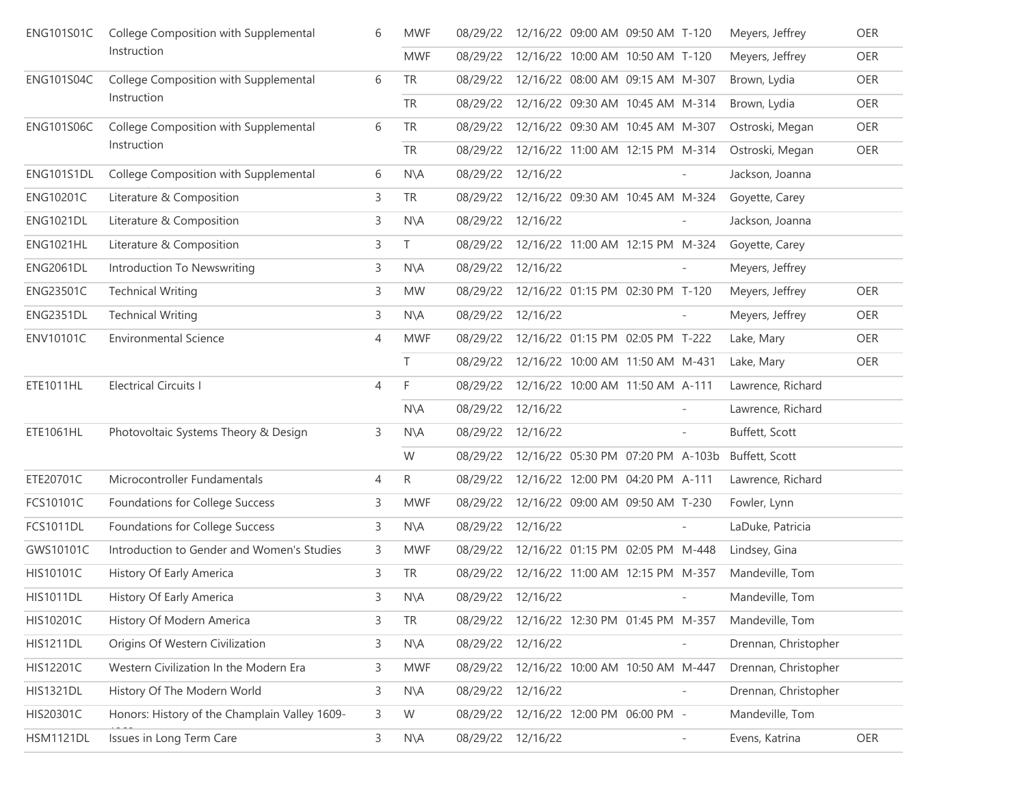| <b>ENG101S01C</b> | College Composition with Supplemental         | 6              | <b>MWF</b>     | 08/29/22 |          | 12/16/22 09:00 AM 09:50 AM T-120  |                          | Meyers, Jeffrey      | <b>OER</b> |
|-------------------|-----------------------------------------------|----------------|----------------|----------|----------|-----------------------------------|--------------------------|----------------------|------------|
|                   | Instruction                                   |                | <b>MWF</b>     | 08/29/22 |          | 12/16/22 10:00 AM 10:50 AM T-120  |                          | Meyers, Jeffrey      | <b>OER</b> |
| <b>ENG101S04C</b> | College Composition with Supplemental         | 6              | <b>TR</b>      | 08/29/22 |          | 12/16/22 08:00 AM 09:15 AM M-307  |                          | Brown, Lydia         | OER        |
|                   | Instruction                                   |                | <b>TR</b>      | 08/29/22 |          | 12/16/22 09:30 AM 10:45 AM M-314  |                          | Brown, Lydia         | <b>OER</b> |
| <b>ENG101S06C</b> | College Composition with Supplemental         | 6              | <b>TR</b>      | 08/29/22 |          | 12/16/22 09:30 AM 10:45 AM M-307  |                          | Ostroski, Megan      | <b>OER</b> |
|                   | Instruction                                   |                | <b>TR</b>      | 08/29/22 |          | 12/16/22 11:00 AM 12:15 PM M-314  |                          | Ostroski, Megan      | OER        |
| ENG101S1DL        | College Composition with Supplemental         | 6              | $N\setminus A$ | 08/29/22 | 12/16/22 |                                   |                          | Jackson, Joanna      |            |
| <b>ENG10201C</b>  | Literature & Composition                      | 3              | <b>TR</b>      | 08/29/22 |          | 12/16/22 09:30 AM 10:45 AM M-324  |                          | Goyette, Carey       |            |
| <b>ENG1021DL</b>  | Literature & Composition                      | 3              | $N\setminus A$ | 08/29/22 | 12/16/22 |                                   |                          | Jackson, Joanna      |            |
| <b>ENG1021HL</b>  | Literature & Composition                      | 3              | T.             | 08/29/22 |          | 12/16/22 11:00 AM 12:15 PM M-324  |                          | Goyette, Carey       |            |
| <b>ENG2061DL</b>  | Introduction To Newswriting                   | 3              | $N\setminus A$ | 08/29/22 | 12/16/22 |                                   |                          | Meyers, Jeffrey      |            |
| <b>ENG23501C</b>  | <b>Technical Writing</b>                      | 3              | <b>MW</b>      | 08/29/22 |          | 12/16/22 01:15 PM 02:30 PM T-120  |                          | Meyers, Jeffrey      | <b>OER</b> |
| ENG2351DL         | <b>Technical Writing</b>                      | 3              | $N\setminus A$ | 08/29/22 | 12/16/22 |                                   |                          | Meyers, Jeffrey      | <b>OER</b> |
| <b>ENV10101C</b>  | <b>Environmental Science</b>                  | $\overline{4}$ | <b>MWF</b>     | 08/29/22 |          | 12/16/22 01:15 PM 02:05 PM T-222  |                          | Lake, Mary           | <b>OER</b> |
|                   |                                               |                | T              | 08/29/22 |          | 12/16/22 10:00 AM 11:50 AM M-431  |                          | Lake, Mary           | OER        |
| ETE1011HL         | <b>Electrical Circuits I</b>                  | $\overline{4}$ | F              | 08/29/22 |          | 12/16/22 10:00 AM 11:50 AM A-111  |                          | Lawrence, Richard    |            |
|                   |                                               |                | N\A            | 08/29/22 | 12/16/22 |                                   |                          | Lawrence, Richard    |            |
| ETE1061HL         | Photovoltaic Systems Theory & Design          | 3              | $N\setminus A$ | 08/29/22 | 12/16/22 |                                   | $\overline{\phantom{a}}$ | Buffett, Scott       |            |
|                   |                                               |                | W              | 08/29/22 |          | 12/16/22 05:30 PM 07:20 PM A-103b |                          | Buffett, Scott       |            |
| ETE20701C         | Microcontroller Fundamentals                  | 4              | R              | 08/29/22 |          | 12/16/22 12:00 PM 04:20 PM A-111  |                          | Lawrence, Richard    |            |
| FCS10101C         | Foundations for College Success               | 3              | <b>MWF</b>     | 08/29/22 |          | 12/16/22 09:00 AM 09:50 AM T-230  |                          | Fowler, Lynn         |            |
| <b>FCS1011DL</b>  | Foundations for College Success               | 3              | $N\setminus A$ | 08/29/22 | 12/16/22 |                                   | $\overline{\phantom{a}}$ | LaDuke, Patricia     |            |
| GWS10101C         | Introduction to Gender and Women's Studies    | 3              | <b>MWF</b>     | 08/29/22 |          | 12/16/22 01:15 PM 02:05 PM M-448  |                          | Lindsey, Gina        |            |
| HIS10101C         | History Of Early America                      | 3              | <b>TR</b>      | 08/29/22 |          | 12/16/22 11:00 AM 12:15 PM M-357  |                          | Mandeville, Tom      |            |
| <b>HIS1011DL</b>  | History Of Early America                      | 3              | $N\setminus A$ | 08/29/22 | 12/16/22 |                                   |                          | Mandeville, Tom      |            |
| HIS10201C         | History Of Modern America                     | 3              | TR             | 08/29/22 |          | 12/16/22 12:30 PM 01:45 PM M-357  |                          | Mandeville, Tom      |            |
| <b>HIS1211DL</b>  | Origins Of Western Civilization               | 3              | $N\setminus A$ | 08/29/22 | 12/16/22 |                                   |                          | Drennan, Christopher |            |
| HIS12201C         | Western Civilization In the Modern Era        | 3              | <b>MWF</b>     | 08/29/22 |          | 12/16/22 10:00 AM 10:50 AM M-447  |                          | Drennan, Christopher |            |
| <b>HIS1321DL</b>  | History Of The Modern World                   | 3              | N\A            | 08/29/22 | 12/16/22 |                                   |                          | Drennan, Christopher |            |
| HIS20301C         | Honors: History of the Champlain Valley 1609- | 3              | W              | 08/29/22 |          | 12/16/22 12:00 PM 06:00 PM -      |                          | Mandeville, Tom      |            |
| <b>HSM1121DL</b>  | Issues in Long Term Care                      | 3              | N\A            | 08/29/22 | 12/16/22 |                                   | $\overline{\phantom{a}}$ | Evens, Katrina       | OER        |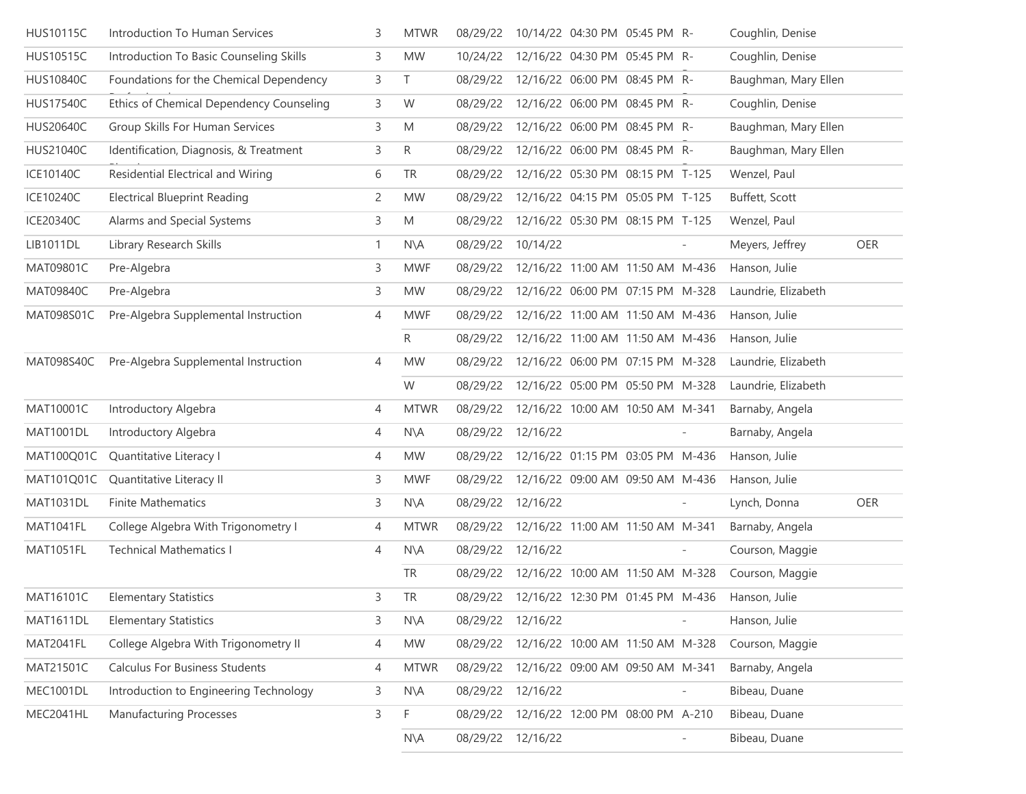| <b>HUS10115C</b> | Introduction To Human Services           | 3                         | <b>MTWR</b>    | 08/29/22 |                                           | 10/14/22 04:30 PM 05:45 PM R-    |                          | Coughlin, Denise     |     |
|------------------|------------------------------------------|---------------------------|----------------|----------|-------------------------------------------|----------------------------------|--------------------------|----------------------|-----|
| <b>HUS10515C</b> | Introduction To Basic Counseling Skills  | 3                         | <b>MW</b>      | 10/24/22 |                                           | 12/16/22 04:30 PM 05:45 PM R-    |                          | Coughlin, Denise     |     |
| <b>HUS10840C</b> | Foundations for the Chemical Dependency  | 3                         | $\top$         | 08/29/22 |                                           | 12/16/22 06:00 PM 08:45 PM R-    |                          | Baughman, Mary Ellen |     |
| <b>HUS17540C</b> | Ethics of Chemical Dependency Counseling | 3                         | W              | 08/29/22 |                                           | 12/16/22 06:00 PM 08:45 PM R-    |                          | Coughlin, Denise     |     |
| <b>HUS20640C</b> | Group Skills For Human Services          | 3                         | M              | 08/29/22 |                                           | 12/16/22 06:00 PM 08:45 PM R-    |                          | Baughman, Mary Ellen |     |
| HUS21040C        | Identification, Diagnosis, & Treatment   | 3                         | R              | 08/29/22 |                                           | 12/16/22 06:00 PM 08:45 PM R-    |                          | Baughman, Mary Ellen |     |
| ICE10140C        | Residential Electrical and Wiring        | 6                         | TR             | 08/29/22 |                                           | 12/16/22 05:30 PM 08:15 PM T-125 |                          | Wenzel, Paul         |     |
| ICE10240C        | <b>Electrical Blueprint Reading</b>      | $\mathsf{2}^{\mathsf{2}}$ | <b>MW</b>      | 08/29/22 |                                           | 12/16/22 04:15 PM 05:05 PM T-125 |                          | Buffett, Scott       |     |
| ICE20340C        | Alarms and Special Systems               | 3                         | M              | 08/29/22 |                                           | 12/16/22 05:30 PM 08:15 PM T-125 |                          | Wenzel, Paul         |     |
| LIB1011DL        | Library Research Skills                  | $\mathbf{1}$              | $N\setminus A$ | 08/29/22 | 10/14/22                                  |                                  |                          | Meyers, Jeffrey      | OER |
| MAT09801C        | Pre-Algebra                              | 3                         | <b>MWF</b>     | 08/29/22 |                                           | 12/16/22 11:00 AM 11:50 AM M-436 |                          | Hanson, Julie        |     |
| MAT09840C        | Pre-Algebra                              | 3                         | <b>MW</b>      | 08/29/22 |                                           | 12/16/22 06:00 PM 07:15 PM M-328 |                          | Laundrie, Elizabeth  |     |
| MAT098S01C       | Pre-Algebra Supplemental Instruction     | 4                         | <b>MWF</b>     | 08/29/22 |                                           | 12/16/22 11:00 AM 11:50 AM M-436 |                          | Hanson, Julie        |     |
|                  |                                          |                           | R              | 08/29/22 |                                           | 12/16/22 11:00 AM 11:50 AM M-436 |                          | Hanson, Julie        |     |
| MAT098S40C       | Pre-Algebra Supplemental Instruction     | 4                         | <b>MW</b>      | 08/29/22 |                                           | 12/16/22 06:00 PM 07:15 PM M-328 |                          | Laundrie, Elizabeth  |     |
|                  |                                          |                           | W              | 08/29/22 |                                           | 12/16/22 05:00 PM 05:50 PM M-328 |                          | Laundrie, Elizabeth  |     |
| MAT10001C        | Introductory Algebra                     | 4                         | <b>MTWR</b>    | 08/29/22 |                                           | 12/16/22 10:00 AM 10:50 AM M-341 |                          | Barnaby, Angela      |     |
| <b>MAT1001DL</b> | Introductory Algebra                     | 4                         | $N\setminus A$ | 08/29/22 | 12/16/22                                  |                                  |                          | Barnaby, Angela      |     |
| MAT100Q01C       | Quantitative Literacy I                  | 4                         | <b>MW</b>      | 08/29/22 |                                           | 12/16/22 01:15 PM 03:05 PM M-436 |                          | Hanson, Julie        |     |
| MAT101Q01C       | Quantitative Literacy II                 | 3                         | <b>MWF</b>     | 08/29/22 |                                           | 12/16/22 09:00 AM 09:50 AM M-436 |                          | Hanson, Julie        |     |
| <b>MAT1031DL</b> | <b>Finite Mathematics</b>                | 3                         | $N\setminus A$ |          | 08/29/22 12/16/22                         |                                  |                          | Lynch, Donna         | OER |
| MAT1041FL        | College Algebra With Trigonometry I      | 4                         | <b>MTWR</b>    | 08/29/22 | 12/16/22 11:00 AM 11:50 AM M-341          |                                  |                          | Barnaby, Angela      |     |
| MAT1051FL        | <b>Technical Mathematics I</b>           | 4                         | $N\setminus A$ |          | 08/29/22 12/16/22                         |                                  |                          | Courson, Maggie      |     |
|                  |                                          |                           | TR             |          | 08/29/22 12/16/22 10:00 AM 11:50 AM M-328 |                                  |                          | Courson, Maggie      |     |
| MAT16101C        | <b>Elementary Statistics</b>             | 3                         | <b>TR</b>      |          | 08/29/22 12/16/22 12:30 PM 01:45 PM M-436 |                                  |                          | Hanson, Julie        |     |
| MAT1611DL        | <b>Elementary Statistics</b>             | 3                         | $N\setminus A$ |          | 08/29/22 12/16/22                         |                                  | $\overline{\phantom{a}}$ | Hanson, Julie        |     |
| MAT2041FL        | College Algebra With Trigonometry II     | 4                         | MW             | 08/29/22 |                                           | 12/16/22 10:00 AM 11:50 AM M-328 |                          | Courson, Maggie      |     |
| MAT21501C        | <b>Calculus For Business Students</b>    | 4                         | <b>MTWR</b>    | 08/29/22 |                                           | 12/16/22 09:00 AM 09:50 AM M-341 |                          | Barnaby, Angela      |     |
| MEC1001DL        | Introduction to Engineering Technology   | 3                         | $N\setminus A$ | 08/29/22 | 12/16/22                                  |                                  | $\overline{\phantom{a}}$ | Bibeau, Duane        |     |
| MEC2041HL        | <b>Manufacturing Processes</b>           | 3                         | F              | 08/29/22 |                                           | 12/16/22 12:00 PM 08:00 PM A-210 |                          | Bibeau, Duane        |     |
|                  |                                          |                           | N\A            |          | 08/29/22 12/16/22                         |                                  | $\overline{\phantom{a}}$ | Bibeau, Duane        |     |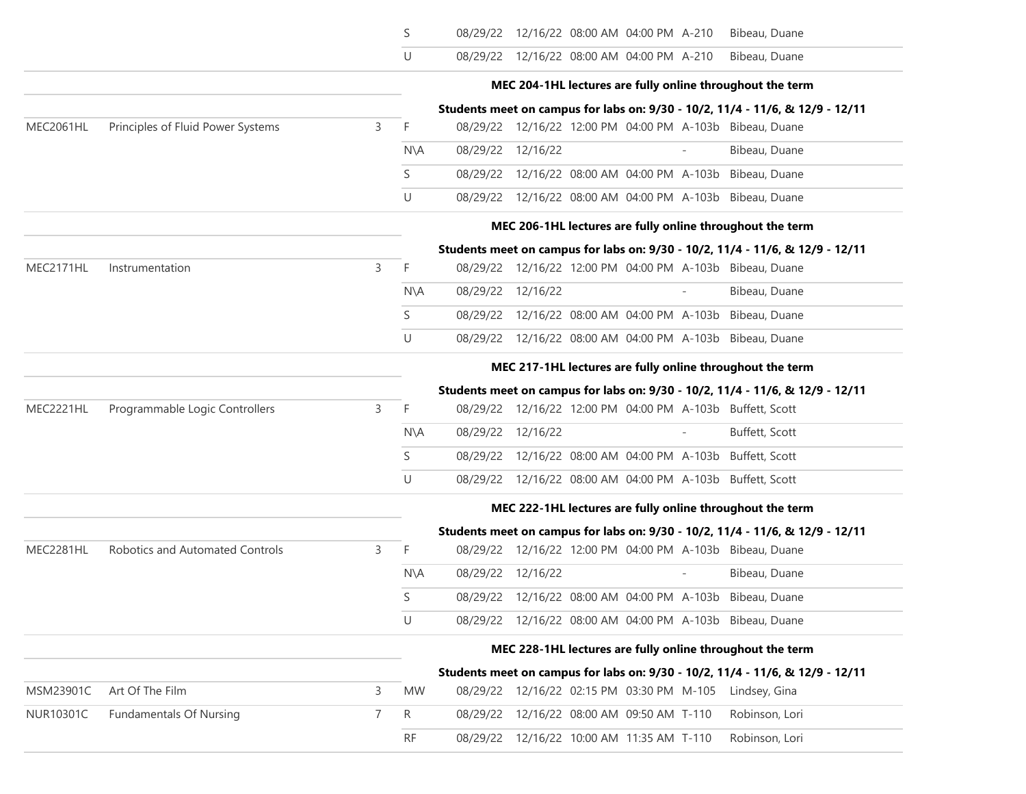|                  |                                   |   | S              | 08/29/22 12/16/22 08:00 AM 04:00 PM A-210 |  |                          | Bibeau, Duane                                                                 |
|------------------|-----------------------------------|---|----------------|-------------------------------------------|--|--------------------------|-------------------------------------------------------------------------------|
|                  |                                   |   | U              | 08/29/22 12/16/22 08:00 AM 04:00 PM A-210 |  |                          | Bibeau, Duane                                                                 |
|                  |                                   |   |                |                                           |  |                          | MEC 204-1HL lectures are fully online throughout the term                     |
|                  |                                   |   |                |                                           |  |                          | Students meet on campus for labs on: 9/30 - 10/2, 11/4 - 11/6, & 12/9 - 12/11 |
| MEC2061HL        | Principles of Fluid Power Systems | 3 | F              |                                           |  |                          | 08/29/22 12/16/22 12:00 PM 04:00 PM A-103b Bibeau, Duane                      |
|                  |                                   |   | N\A            | 08/29/22 12/16/22                         |  | $\overline{\phantom{a}}$ | Bibeau, Duane                                                                 |
|                  |                                   |   | S              |                                           |  |                          | 08/29/22 12/16/22 08:00 AM 04:00 PM A-103b Bibeau, Duane                      |
|                  |                                   |   | U              |                                           |  |                          | 08/29/22 12/16/22 08:00 AM 04:00 PM A-103b Bibeau, Duane                      |
|                  |                                   |   |                |                                           |  |                          | MEC 206-1HL lectures are fully online throughout the term                     |
|                  |                                   |   |                |                                           |  |                          | Students meet on campus for labs on: 9/30 - 10/2, 11/4 - 11/6, & 12/9 - 12/11 |
| MEC2171HL        | Instrumentation                   | 3 | F.             |                                           |  |                          | 08/29/22 12/16/22 12:00 PM 04:00 PM A-103b Bibeau, Duane                      |
|                  |                                   |   | N\A            | 08/29/22 12/16/22                         |  | $\overline{\phantom{a}}$ | Bibeau, Duane                                                                 |
|                  |                                   |   | S              |                                           |  |                          | 08/29/22 12/16/22 08:00 AM 04:00 PM A-103b Bibeau, Duane                      |
|                  |                                   |   | U              |                                           |  |                          | 08/29/22 12/16/22 08:00 AM 04:00 PM A-103b Bibeau, Duane                      |
|                  |                                   |   |                |                                           |  |                          | MEC 217-1HL lectures are fully online throughout the term                     |
|                  |                                   |   |                |                                           |  |                          | Students meet on campus for labs on: 9/30 - 10/2, 11/4 - 11/6, & 12/9 - 12/11 |
| MEC2221HL        | Programmable Logic Controllers    | 3 | F              |                                           |  |                          | 08/29/22 12/16/22 12:00 PM 04:00 PM A-103b Buffett, Scott                     |
|                  |                                   |   | $N\setminus A$ | 08/29/22 12/16/22                         |  | $\overline{a}$           | Buffett, Scott                                                                |
|                  |                                   |   | S              |                                           |  |                          | 08/29/22 12/16/22 08:00 AM 04:00 PM A-103b Buffett, Scott                     |
|                  |                                   |   | U              |                                           |  |                          | 08/29/22 12/16/22 08:00 AM 04:00 PM A-103b Buffett, Scott                     |
|                  |                                   |   |                |                                           |  |                          | MEC 222-1HL lectures are fully online throughout the term                     |
|                  |                                   |   |                |                                           |  |                          | Students meet on campus for labs on: 9/30 - 10/2, 11/4 - 11/6, & 12/9 - 12/11 |
| MEC2281HL        | Robotics and Automated Controls   | 3 | F              |                                           |  |                          | 08/29/22 12/16/22 12:00 PM 04:00 PM A-103b Bibeau, Duane                      |
|                  |                                   |   | $N\setminus A$ | 08/29/22 12/16/22                         |  |                          | Bibeau, Duane                                                                 |
|                  |                                   |   | S              |                                           |  |                          | 08/29/22 12/16/22 08:00 AM 04:00 PM A-103b Bibeau, Duane                      |
|                  |                                   |   | U              |                                           |  |                          | 08/29/22 12/16/22 08:00 AM 04:00 PM A-103b Bibeau, Duane                      |
|                  |                                   |   |                |                                           |  |                          | MEC 228-1HL lectures are fully online throughout the term                     |
|                  |                                   |   |                |                                           |  |                          | Students meet on campus for labs on: 9/30 - 10/2, 11/4 - 11/6, & 12/9 - 12/11 |
| MSM23901C        | Art Of The Film                   | 3 | <b>MW</b>      | 08/29/22 12/16/22 02:15 PM 03:30 PM M-105 |  |                          | Lindsey, Gina                                                                 |
| <b>NUR10301C</b> | <b>Fundamentals Of Nursing</b>    | 7 | R              | 08/29/22 12/16/22 08:00 AM 09:50 AM T-110 |  |                          | Robinson, Lori                                                                |
|                  |                                   |   | RF.            | 08/29/22 12/16/22 10:00 AM 11:35 AM T-110 |  |                          | Robinson, Lori                                                                |
|                  |                                   |   |                |                                           |  |                          |                                                                               |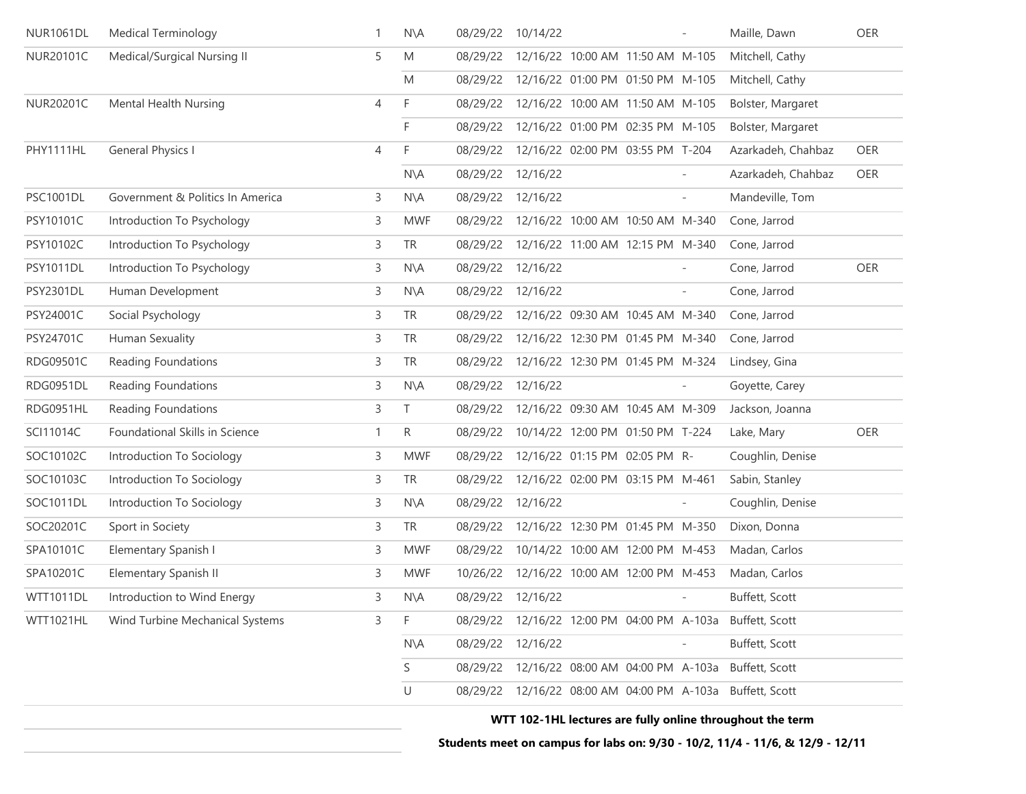| <b>NUR1061DL</b> | <b>Medical Terminology</b>       | 1 | $N\setminus A$ | 08/29/22 | 10/14/22                                   |                                  |                          | Maille, Dawn                                              | OER |
|------------------|----------------------------------|---|----------------|----------|--------------------------------------------|----------------------------------|--------------------------|-----------------------------------------------------------|-----|
| NUR20101C        | Medical/Surgical Nursing II      | 5 | M              | 08/29/22 |                                            | 12/16/22 10:00 AM 11:50 AM M-105 |                          | Mitchell, Cathy                                           |     |
|                  |                                  |   | M              |          | 08/29/22 12/16/22 01:00 PM 01:50 PM M-105  |                                  |                          | Mitchell, Cathy                                           |     |
| NUR20201C        | Mental Health Nursing            | 4 | F              | 08/29/22 |                                            | 12/16/22 10:00 AM 11:50 AM M-105 |                          | Bolster, Margaret                                         |     |
|                  |                                  |   | F.             | 08/29/22 |                                            | 12/16/22 01:00 PM 02:35 PM M-105 |                          | Bolster, Margaret                                         |     |
| PHY1111HL        | <b>General Physics I</b>         | 4 | F              | 08/29/22 |                                            | 12/16/22 02:00 PM 03:55 PM T-204 |                          | Azarkadeh, Chahbaz                                        | OER |
|                  |                                  |   | $N\setminus A$ | 08/29/22 | 12/16/22                                   |                                  |                          | Azarkadeh, Chahbaz                                        | OER |
| <b>PSC1001DL</b> | Government & Politics In America | 3 | $N\setminus A$ | 08/29/22 | 12/16/22                                   |                                  | $\overline{\phantom{a}}$ | Mandeville, Tom                                           |     |
| PSY10101C        | Introduction To Psychology       | 3 | <b>MWF</b>     | 08/29/22 |                                            | 12/16/22 10:00 AM 10:50 AM M-340 |                          | Cone, Jarrod                                              |     |
| PSY10102C        | Introduction To Psychology       | 3 | <b>TR</b>      | 08/29/22 |                                            | 12/16/22 11:00 AM 12:15 PM M-340 |                          | Cone, Jarrod                                              |     |
| <b>PSY1011DL</b> | Introduction To Psychology       | 3 | $N\setminus A$ | 08/29/22 | 12/16/22                                   |                                  | $\overline{\phantom{a}}$ | Cone, Jarrod                                              | OER |
| <b>PSY2301DL</b> | Human Development                | 3 | $N\setminus A$ | 08/29/22 | 12/16/22                                   |                                  | $\overline{\phantom{a}}$ | Cone, Jarrod                                              |     |
| PSY24001C        | Social Psychology                | 3 | <b>TR</b>      | 08/29/22 |                                            | 12/16/22 09:30 AM 10:45 AM M-340 |                          | Cone, Jarrod                                              |     |
| PSY24701C        | Human Sexuality                  | 3 | <b>TR</b>      | 08/29/22 |                                            | 12/16/22 12:30 PM 01:45 PM M-340 |                          | Cone, Jarrod                                              |     |
| RDG09501C        | Reading Foundations              | 3 | <b>TR</b>      | 08/29/22 |                                            | 12/16/22 12:30 PM 01:45 PM M-324 |                          | Lindsey, Gina                                             |     |
| RDG0951DL        | Reading Foundations              | 3 | $N\setminus A$ | 08/29/22 | 12/16/22                                   |                                  |                          | Goyette, Carey                                            |     |
| RDG0951HL        | Reading Foundations              | 3 | T              | 08/29/22 |                                            | 12/16/22 09:30 AM 10:45 AM M-309 |                          | Jackson, Joanna                                           |     |
| SCI11014C        | Foundational Skills in Science   | 1 | R              | 08/29/22 |                                            | 10/14/22 12:00 PM 01:50 PM T-224 |                          | Lake, Mary                                                | OER |
| SOC10102C        | Introduction To Sociology        | 3 | <b>MWF</b>     | 08/29/22 |                                            | 12/16/22 01:15 PM 02:05 PM R-    |                          | Coughlin, Denise                                          |     |
| SOC10103C        | Introduction To Sociology        | 3 | TR             | 08/29/22 |                                            | 12/16/22 02:00 PM 03:15 PM M-461 |                          | Sabin, Stanley                                            |     |
| SOC1011DL        | Introduction To Sociology        | 3 | $N\setminus A$ | 08/29/22 | 12/16/22                                   |                                  |                          | Coughlin, Denise                                          |     |
| SOC20201C        | Sport in Society                 | 3 | <b>TR</b>      | 08/29/22 |                                            | 12/16/22 12:30 PM 01:45 PM M-350 |                          | Dixon, Donna                                              |     |
| SPA10101C        | Elementary Spanish I             | 3 | <b>MWF</b>     | 08/29/22 |                                            | 10/14/22 10:00 AM 12:00 PM M-453 |                          | Madan, Carlos                                             |     |
| SPA10201C        | <b>Elementary Spanish II</b>     | 3 | <b>MWF</b>     | 10/26/22 |                                            | 12/16/22 10:00 AM 12:00 PM M-453 |                          | Madan, Carlos                                             |     |
| <b>WTT1011DL</b> | Introduction to Wind Energy      | 3 | $N\setminus A$ |          | 08/29/22 12/16/22                          |                                  |                          | Buffett, Scott                                            |     |
| WTT1021HL        | Wind Turbine Mechanical Systems  | 3 | F.             |          |                                            |                                  |                          | 08/29/22 12/16/22 12:00 PM 04:00 PM A-103a Buffett, Scott |     |
|                  |                                  |   | $N\setminus A$ | 08/29/22 | 12/16/22                                   |                                  |                          | Buffett, Scott                                            |     |
|                  |                                  |   | S              |          | 08/29/22 12/16/22 08:00 AM 04:00 PM A-103a |                                  |                          | Buffett, Scott                                            |     |
|                  |                                  |   | U              |          |                                            |                                  |                          | 08/29/22 12/16/22 08:00 AM 04:00 PM A-103a Buffett, Scott |     |
|                  |                                  |   |                |          |                                            |                                  |                          |                                                           |     |

**WTT 102-1HL lectures are fully online throughout the term**

**Students meet on campus for labs on: 9/30 - 10/2, 11/4 - 11/6, & 12/9 - 12/11**